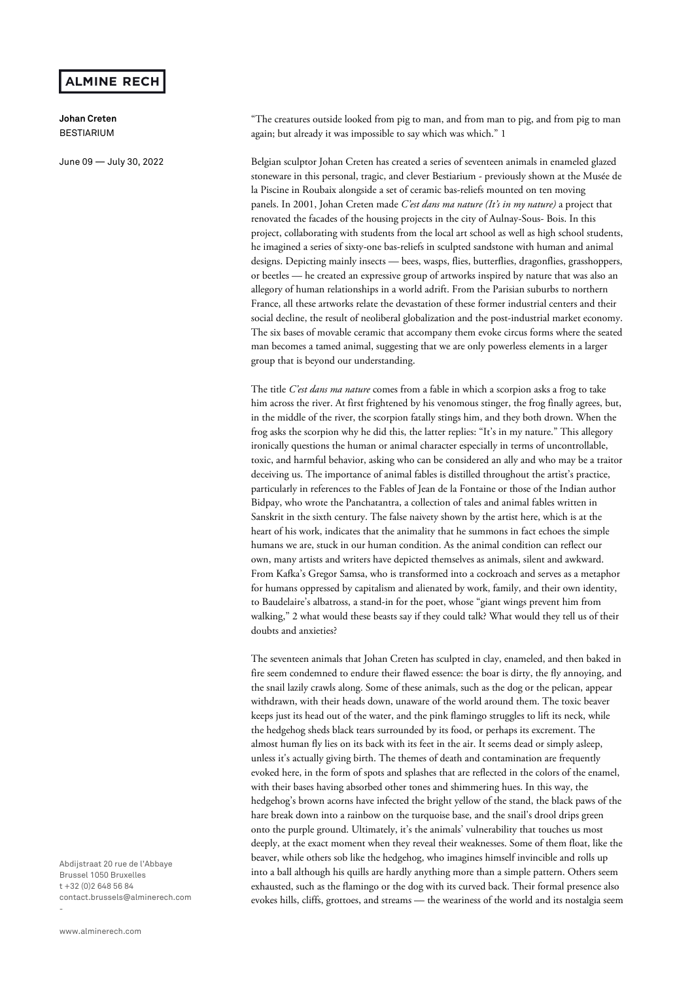## **ALMINE RECH**

**Johan Creten**  BESTIARIUM

June 09 — July 30, 2022

"The creatures outside looked from pig to man, and from man to pig, and from pig to man again; but already it was impossible to say which was which." 1

Belgian sculptor Johan Creten has created a series of seventeen animals in enameled glazed stoneware in this personal, tragic, and clever Bestiarium - previously shown at the Musée de la Piscine in Roubaix alongside a set of ceramic bas-reliefs mounted on ten moving panels. In 2001, Johan Creten made *C'est dans ma nature (It's in my nature)* a project that renovated the facades of the housing projects in the city of Aulnay-Sous- Bois. In this project, collaborating with students from the local art school as well as high school students, he imagined a series of sixty-one bas-reliefs in sculpted sandstone with human and animal designs. Depicting mainly insects — bees, wasps, flies, butterflies, dragonflies, grasshoppers, or beetles — he created an expressive group of artworks inspired by nature that was also an allegory of human relationships in a world adrift. From the Parisian suburbs to northern France, all these artworks relate the devastation of these former industrial centers and their social decline, the result of neoliberal globalization and the post-industrial market economy. The six bases of movable ceramic that accompany them evoke circus forms where the seated man becomes a tamed animal, suggesting that we are only powerless elements in a larger group that is beyond our understanding.

The title *C'est dans ma nature* comes from a fable in which a scorpion asks a frog to take him across the river. At first frightened by his venomous stinger, the frog finally agrees, but, in the middle of the river, the scorpion fatally stings him, and they both drown. When the frog asks the scorpion why he did this, the latter replies: "It's in my nature." This allegory ironically questions the human or animal character especially in terms of uncontrollable, toxic, and harmful behavior, asking who can be considered an ally and who may be a traitor deceiving us. The importance of animal fables is distilled throughout the artist's practice, particularly in references to the Fables of Jean de la Fontaine or those of the Indian author Bidpay, who wrote the Panchatantra, a collection of tales and animal fables written in Sanskrit in the sixth century. The false naivety shown by the artist here, which is at the heart of his work, indicates that the animality that he summons in fact echoes the simple humans we are, stuck in our human condition. As the animal condition can reflect our own, many artists and writers have depicted themselves as animals, silent and awkward. From Kafka's Gregor Samsa, who is transformed into a cockroach and serves as a metaphor for humans oppressed by capitalism and alienated by work, family, and their own identity, to Baudelaire's albatross, a stand-in for the poet, whose "giant wings prevent him from walking," 2 what would these beasts say if they could talk? What would they tell us of their doubts and anxieties?

The seventeen animals that Johan Creten has sculpted in clay, enameled, and then baked in fire seem condemned to endure their flawed essence: the boar is dirty, the fly annoying, and the snail lazily crawls along. Some of these animals, such as the dog or the pelican, appear withdrawn, with their heads down, unaware of the world around them. The toxic beaver keeps just its head out of the water, and the pink flamingo struggles to lift its neck, while the hedgehog sheds black tears surrounded by its food, or perhaps its excrement. The almost human fly lies on its back with its feet in the air. It seems dead or simply asleep, unless it's actually giving birth. The themes of death and contamination are frequently evoked here, in the form of spots and splashes that are reflected in the colors of the enamel, with their bases having absorbed other tones and shimmering hues. In this way, the hedgehog's brown acorns have infected the bright yellow of the stand, the black paws of the hare break down into a rainbow on the turquoise base, and the snail's drool drips green onto the purple ground. Ultimately, it's the animals' vulnerability that touches us most deeply, at the exact moment when they reveal their weaknesses. Some of them float, like the beaver, while others sob like the hedgehog, who imagines himself invincible and rolls up into a ball although his quills are hardly anything more than a simple pattern. Others seem exhausted, such as the flamingo or the dog with its curved back. Their formal presence also evokes hills, cliffs, grottoes, and streams — the weariness of the world and its nostalgia seem

Abdijstraat 20 rue de l'Abbaye Brussel 1050 Bruxelles t +32 (0)2 648 56 84 contact.brussels@alminerech.com -